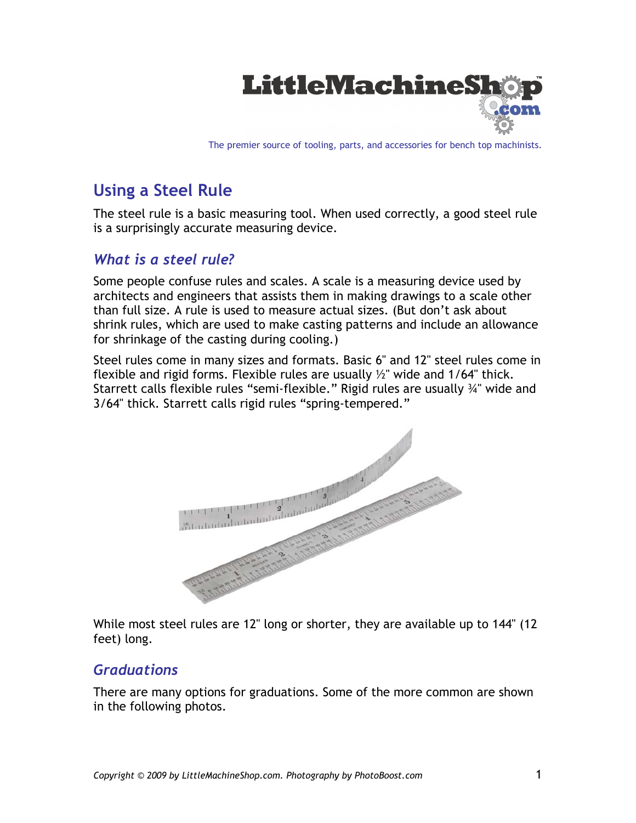

The premier source of tooling, parts, and accessories for bench top machinists.

# **Using a Steel Rule**

The steel rule is a basic measuring tool. When used correctly, a good steel rule is a surprisingly accurate measuring device.

### *What is a steel rule?*

Some people confuse rules and scales. A scale is a measuring device used by architects and engineers that assists them in making drawings to a scale other than full size. A rule is used to measure actual sizes. (But don't ask about shrink rules, which are used to make casting patterns and include an allowance for shrinkage of the casting during cooling.)

Steel rules come in many sizes and formats. Basic 6" and 12" steel rules come in flexible and rigid forms. Flexible rules are usually  $\frac{1}{2}$  wide and 1/64" thick. Starrett calls flexible rules "semi-flexible." Rigid rules are usually ¾" wide and 3/64" thick. Starrett calls rigid rules "spring-tempered."



While most steel rules are 12" long or shorter, they are available up to 144" (12 feet) long.

#### *Graduations*

There are many options for graduations. Some of the more common are shown in the following photos.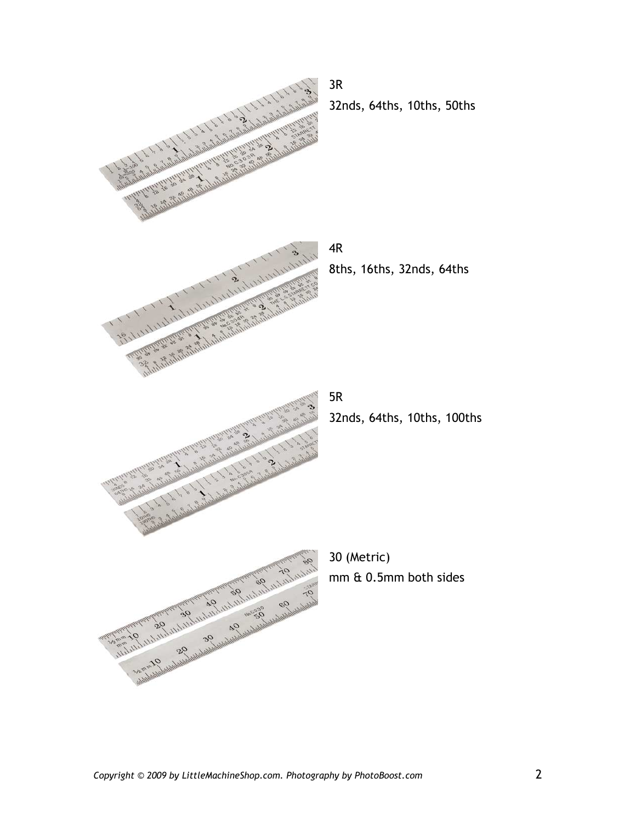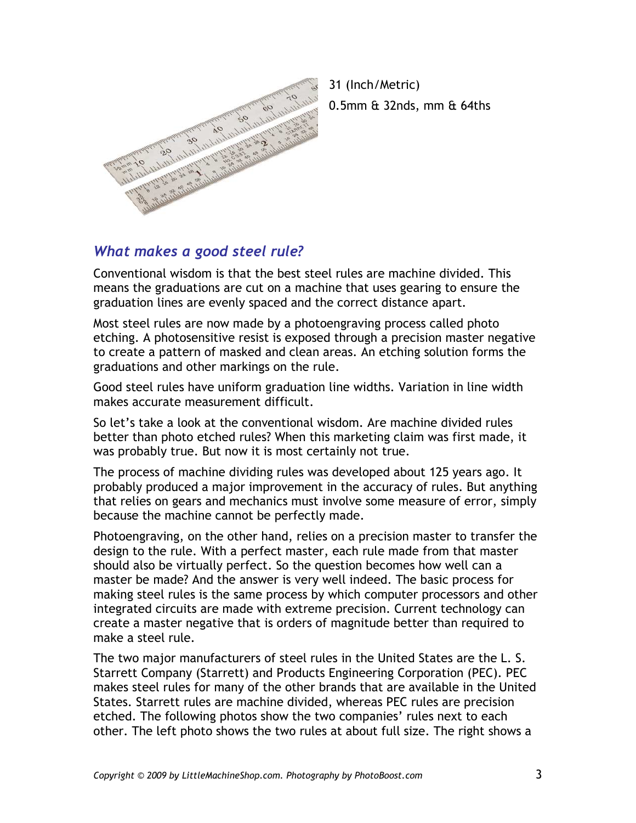

31 (Inch/Metric) 0.5mm & 32nds, mm & 64ths

#### *What makes a good steel rule?*

Conventional wisdom is that the best steel rules are machine divided. This means the graduations are cut on a machine that uses gearing to ensure the graduation lines are evenly spaced and the correct distance apart.

Most steel rules are now made by a photoengraving process called photo etching. A photosensitive resist is exposed through a precision master negative to create a pattern of masked and clean areas. An etching solution forms the graduations and other markings on the rule.

Good steel rules have uniform graduation line widths. Variation in line width makes accurate measurement difficult.

So let's take a look at the conventional wisdom. Are machine divided rules better than photo etched rules? When this marketing claim was first made, it was probably true. But now it is most certainly not true.

The process of machine dividing rules was developed about 125 years ago. It probably produced a major improvement in the accuracy of rules. But anything that relies on gears and mechanics must involve some measure of error, simply because the machine cannot be perfectly made.

Photoengraving, on the other hand, relies on a precision master to transfer the design to the rule. With a perfect master, each rule made from that master should also be virtually perfect. So the question becomes how well can a master be made? And the answer is very well indeed. The basic process for making steel rules is the same process by which computer processors and other integrated circuits are made with extreme precision. Current technology can create a master negative that is orders of magnitude better than required to make a steel rule.

The two major manufacturers of steel rules in the United States are the L. S. Starrett Company (Starrett) and Products Engineering Corporation (PEC). PEC makes steel rules for many of the other brands that are available in the United States. Starrett rules are machine divided, whereas PEC rules are precision etched. The following photos show the two companies' rules next to each other. The left photo shows the two rules at about full size. The right shows a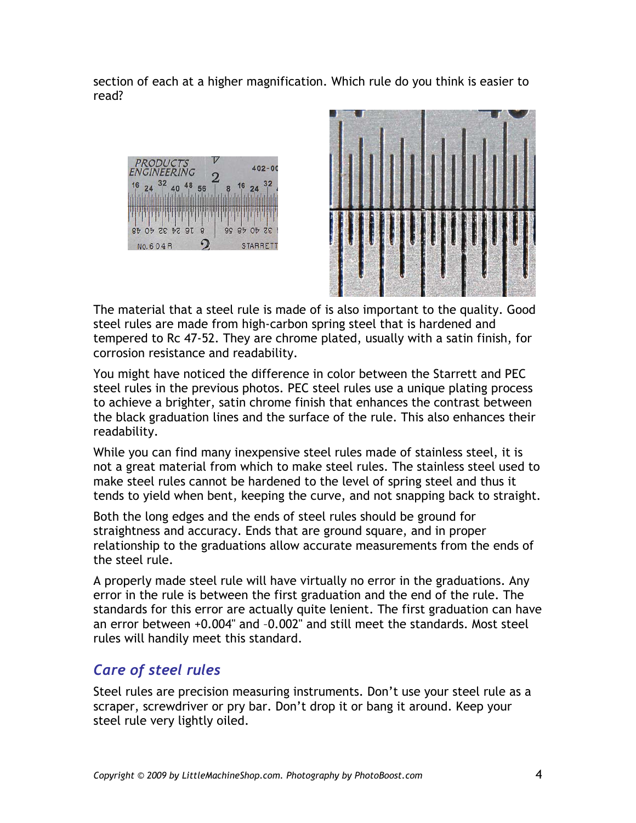section of each at a higher magnification. Which rule do you think is easier to read?





The material that a steel rule is made of is also important to the quality. Good steel rules are made from high-carbon spring steel that is hardened and tempered to Rc 47-52. They are chrome plated, usually with a satin finish, for corrosion resistance and readability.

You might have noticed the difference in color between the Starrett and PEC steel rules in the previous photos. PEC steel rules use a unique plating process to achieve a brighter, satin chrome finish that enhances the contrast between the black graduation lines and the surface of the rule. This also enhances their readability.

While you can find many inexpensive steel rules made of stainless steel, it is not a great material from which to make steel rules. The stainless steel used to make steel rules cannot be hardened to the level of spring steel and thus it tends to yield when bent, keeping the curve, and not snapping back to straight.

Both the long edges and the ends of steel rules should be ground for straightness and accuracy. Ends that are ground square, and in proper relationship to the graduations allow accurate measurements from the ends of the steel rule.

A properly made steel rule will have virtually no error in the graduations. Any error in the rule is between the first graduation and the end of the rule. The standards for this error are actually quite lenient. The first graduation can have an error between +0.004" and –0.002" and still meet the standards. Most steel rules will handily meet this standard.

## *Care of steel rules*

Steel rules are precision measuring instruments. Don't use your steel rule as a scraper, screwdriver or pry bar. Don't drop it or bang it around. Keep your steel rule very lightly oiled.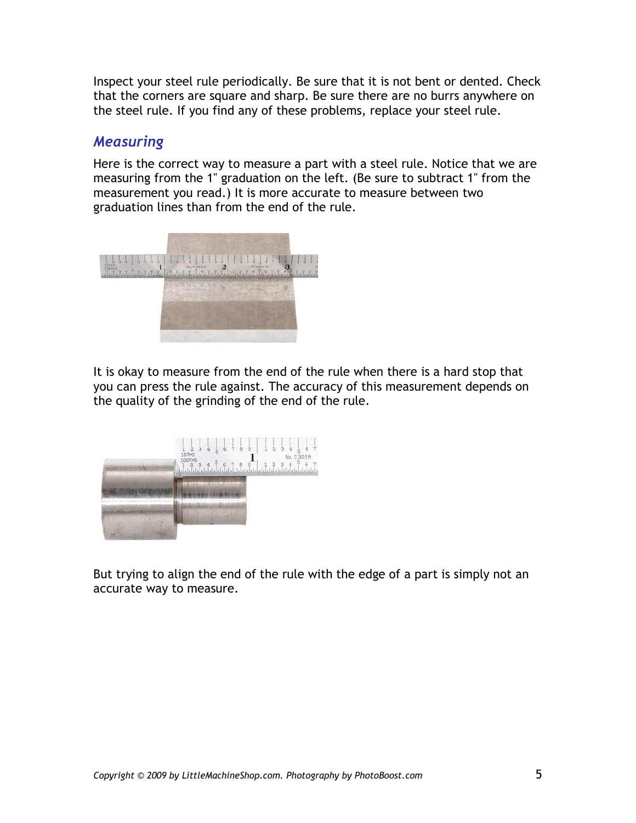Inspect your steel rule periodically. Be sure that it is not bent or dented. Check that the corners are square and sharp. Be sure there are no burrs anywhere on the steel rule. If you find any of these problems, replace your steel rule.

#### *Measuring*

Here is the correct way to measure a part with a steel rule. Notice that we are measuring from the 1" graduation on the left. (Be sure to subtract 1" from the measurement you read.) It is more accurate to measure between two graduation lines than from the end of the rule.



It is okay to measure from the end of the rule when there is a hard stop that you can press the rule against. The accuracy of this measurement depends on the quality of the grinding of the end of the rule.



But trying to align the end of the rule with the edge of a part is simply not an accurate way to measure.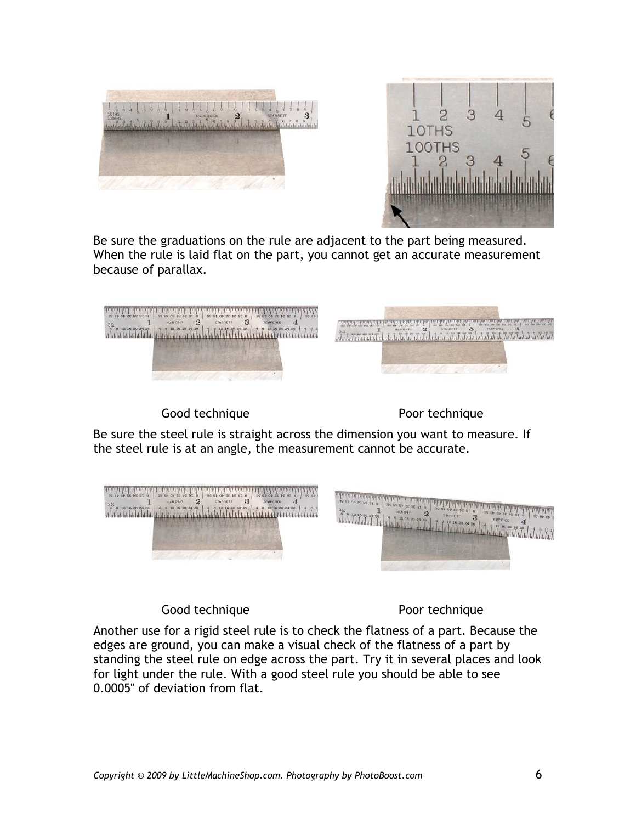



Be sure the graduations on the rule are adjacent to the part being measured. When the rule is laid flat on the part, you cannot get an accurate measurement because of parallax.



Good technique **Poor** technique

Be sure the steel rule is straight across the dimension you want to measure. If the steel rule is at an angle, the measurement cannot be accurate.



Good technique **Poor** technique

Another use for a rigid steel rule is to check the flatness of a part. Because the edges are ground, you can make a visual check of the flatness of a part by standing the steel rule on edge across the part. Try it in several places and look for light under the rule. With a good steel rule you should be able to see 0.0005" of deviation from flat.